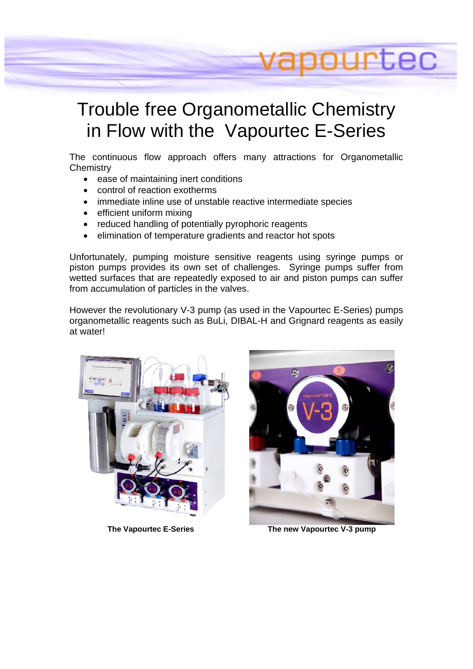# Trouble free Organometallic Chemistry in Flow with the Vapourtec E-Series

The continuous flow approach offers many attractions for Organometallic **Chemistry** 

- ease of maintaining inert conditions
- control of reaction exotherms
- immediate inline use of unstable reactive intermediate species
- efficient uniform mixing
- reduced handling of potentially pyrophoric reagents
- elimination of temperature gradients and reactor hot spots

Unfortunately, pumping moisture sensitive reagents using syringe pumps or piston pumps provides its own set of challenges. Syringe pumps suffer from wetted surfaces that are repeatedly exposed to air and piston pumps can suffer from accumulation of particles in the valves.

However the revolutionary V-3 pump (as used in the Vapourtec E-Series) pumps organometallic reagents such as BuLi, DIBAL-H and Grignard reagents as easily at water!





**ILEC** 

The Vapourtec E-Series **The new Vapourtec V-3 pump**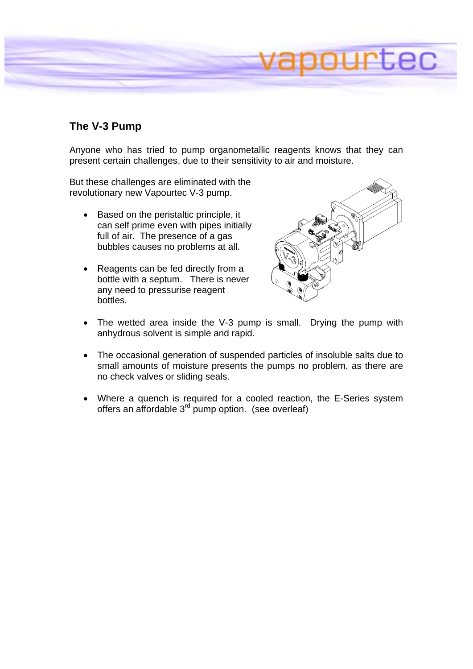

### **The V-3 Pump**

Anyone who has tried to pump organometallic reagents knows that they can present certain challenges, due to their sensitivity to air and moisture.

But these challenges are eliminated with the revolutionary new Vapourtec V-3 pump.

- Based on the peristaltic principle, it can self prime even with pipes initially full of air. The presence of a gas bubbles causes no problems at all.
- Reagents can be fed directly from a bottle with a septum. There is never any need to pressurise reagent bottles.



- The wetted area inside the V-3 pump is small. Drying the pump with anhydrous solvent is simple and rapid.
- The occasional generation of suspended particles of insoluble salts due to small amounts of moisture presents the pumps no problem, as there are no check valves or sliding seals.
- Where a quench is required for a cooled reaction, the E-Series system offers an affordable 3rd pump option. (see overleaf)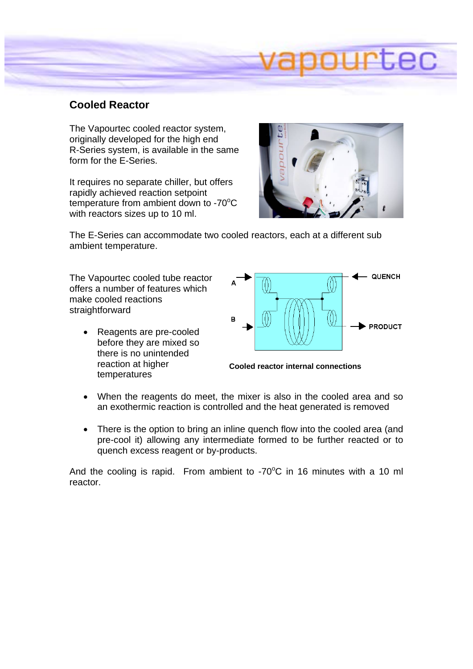#### **Cooled Reactor**

The Vapourtec cooled reactor system, originally developed for the high end R-Series system, is available in the same form for the E-Series.

It requires no separate chiller, but offers rapidly achieved reaction setpoint temperature from ambient down to -70 $\mathrm{^{\circ}C}$ with reactors sizes up to 10 ml.



The E-Series can accommodate two cooled reactors, each at a different sub ambient temperature.

The Vapourtec cooled tube reactor offers a number of features which make cooled reactions straightforward

• Reagents are pre-cooled before they are mixed so there is no unintended reaction at higher temperatures



**Cooled reactor internal connections** 

- When the reagents do meet, the mixer is also in the cooled area and so an exothermic reaction is controlled and the heat generated is removed
- There is the option to bring an inline quench flow into the cooled area (and pre-cool it) allowing any intermediate formed to be further reacted or to quench excess reagent or by-products.

And the cooling is rapid. From ambient to  $-70^{\circ}$ C in 16 minutes with a 10 ml reactor.